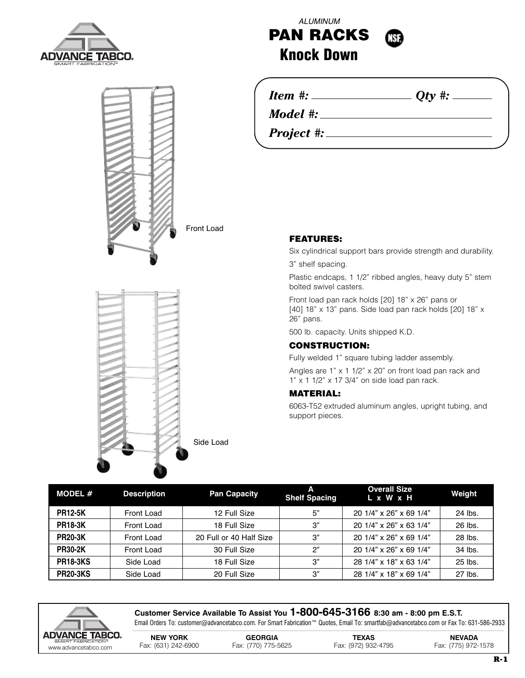



ALUMINUM **PAN RACKS Knock Down**

*Item #: Qty #:*

*Model #:*

*Project #:*

Side Load

## **FEATURES:**

Six cylindrical support bars provide strength and durability.

3" shelf spacing.

Plastic endcaps, 1 1/2" ribbed angles, heavy duty 5" stem bolted swivel casters.

Front load pan rack holds [20] 18" x 26" pans or [40] 18" x 13" pans. Side load pan rack holds [20] 18" x 26" pans.

500 lb. capacity. Units shipped K.D.

## **CONSTRUCTION:**

Fully welded 1" square tubing ladder assembly.

Angles are 1" x 1 1/2" x 20" on front load pan rack and  $1"$  x 1  $1/2"$  x 17  $3/4"$  on side load pan rack.

## **MATERIAL:**

6063-T52 extruded aluminum angles, upright tubing, and support pieces.

| MODEL $#$       | <b>Description</b> | <b>Pan Capacity</b>     | A<br><b>Shelf Spacing</b> | <b>Overall Size</b><br>L x W x H | Weight  |
|-----------------|--------------------|-------------------------|---------------------------|----------------------------------|---------|
| <b>PR12-5K</b>  | Front Load         | 12 Full Size            | 5"                        | 20 1/4" x 26" x 69 1/4"          | 24 lbs. |
| <b>PR18-3K</b>  | Front Load         | 18 Full Size            | 3"                        | 20 1/4" x 26" x 63 1/4"          | 26 lbs. |
| <b>PR20-3K</b>  | Front Load         | 20 Full or 40 Half Size | 3"                        | 20 1/4" x 26" x 69 1/4"          | 28 lbs. |
| <b>PR30-2K</b>  | Front Load         | 30 Full Size            | 2"                        | 20 1/4" x 26" x 69 1/4"          | 34 lbs. |
| <b>PR18-3KS</b> | Side Load          | 18 Full Size            | 3"                        | 28 1/4" x 18" x 63 1/4"          | 25 lbs. |
| <b>PR20-3KS</b> | Side Load          | 20 Full Size            | 3"                        | 28 1/4" x 18" x 69 1/4"          | 27 lbs. |



**Customer Service Available To Assist You 1-800-645-3166 8:30 am - 8:00 pm E.S.T.** Email Orders To: customer@advancetabco.com. For Smart Fabrication™ Quotes, Email To: smartfab@advancetabco.com or Fax To: 631-586-2933

| DVANCE IABCU.<br>SMART FABRICATION™ | <b>NEW YORK</b>     | <b>GEORGIA</b>      | TEXAS               | <b>NEVADA</b>       |
|-------------------------------------|---------------------|---------------------|---------------------|---------------------|
| www.advancetabco.com                | Fax: (631) 242-6900 | Fax: (770) 775-5625 | Fax: (972) 932-4795 | Fax: (775) 972-1578 |